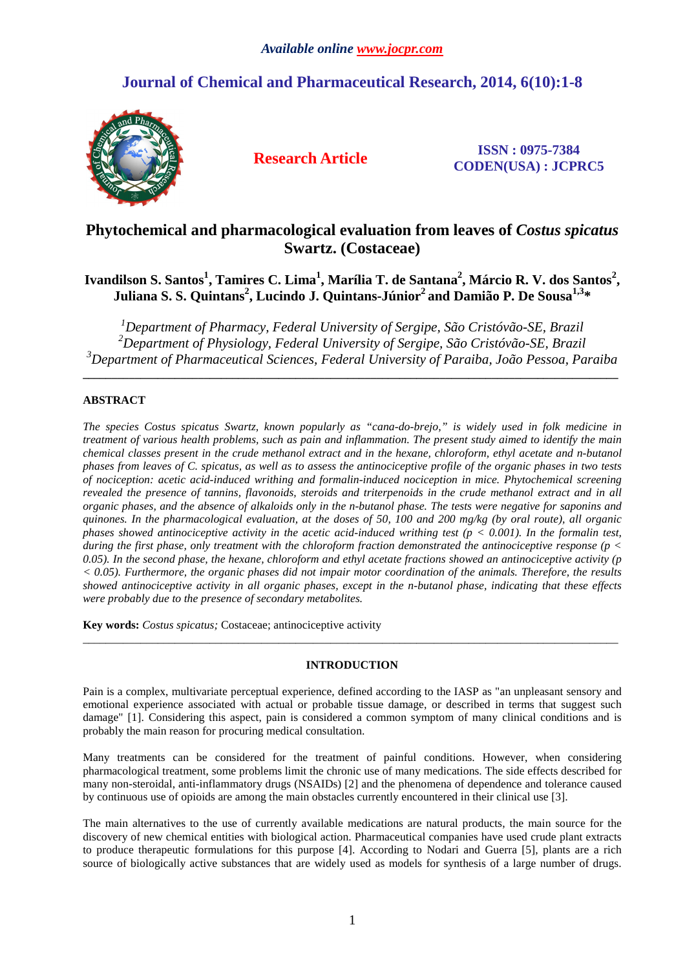# **Journal of Chemical and Pharmaceutical Research, 2014, 6(10):1-8**



**Research Article ISSN : 0975-7384 CODEN(USA) : JCPRC5**

# **Phytochemical and pharmacological evaluation from leaves of** *Costus spicatus*  **Swartz. (Costaceae)**

## **Ivandilson S. Santos<sup>1</sup> , Tamires C. Lima<sup>1</sup> , Marília T. de Santana<sup>2</sup> , Márcio R. V. dos Santos<sup>2</sup> , Juliana S. S. Quintans<sup>2</sup> , Lucindo J. Quintans-Júnior<sup>2</sup>and Damião P. De Sousa1,3\***

*<sup>1</sup>Department of Pharmacy, Federal University of Sergipe, São Cristóvão-SE, Brazil <sup>2</sup>Department of Physiology, Federal University of Sergipe, São Cristóvão-SE, Brazil <sup>3</sup>Department of Pharmaceutical Sciences, Federal University of Paraiba, João Pessoa, Paraiba*

**\_\_\_\_\_\_\_\_\_\_\_\_\_\_\_\_\_\_\_\_\_\_\_\_\_\_\_\_\_\_\_\_\_\_\_\_\_\_\_\_\_\_\_\_\_\_\_\_\_\_\_\_\_\_\_\_\_\_\_\_\_\_\_\_\_\_\_\_\_\_\_\_\_\_\_\_\_\_\_\_\_\_\_\_\_\_\_\_\_\_\_\_\_** 

## **ABSTRACT**

*The species Costus spicatus Swartz, known popularly as "cana-do-brejo," is widely used in folk medicine in treatment of various health problems, such as pain and inflammation. The present study aimed to identify the main chemical classes present in the crude methanol extract and in the hexane, chloroform, ethyl acetate and n-butanol phases from leaves of C. spicatus, as well as to assess the antinociceptive profile of the organic phases in two tests of nociception: acetic acid-induced writhing and formalin-induced nociception in mice. Phytochemical screening revealed the presence of tannins, flavonoids, steroids and triterpenoids in the crude methanol extract and in all organic phases, and the absence of alkaloids only in the n-butanol phase. The tests were negative for saponins and quinones. In the pharmacological evaluation, at the doses of 50, 100 and 200 mg/kg (by oral route), all organic phases showed antinociceptive activity in the acetic acid-induced writhing test (* $p < 0.001$ *). In the formalin test, during the first phase, only treatment with the chloroform fraction demonstrated the antinociceptive response (p < 0.05). In the second phase, the hexane, chloroform and ethyl acetate fractions showed an antinociceptive activity (p < 0.05). Furthermore, the organic phases did not impair motor coordination of the animals. Therefore, the results showed antinociceptive activity in all organic phases, except in the n-butanol phase, indicating that these effects were probably due to the presence of secondary metabolites.* 

**Key words:** *Costus spicatus;* Costaceae; antinociceptive activity

## **INTRODUCTION**

\_\_\_\_\_\_\_\_\_\_\_\_\_\_\_\_\_\_\_\_\_\_\_\_\_\_\_\_\_\_\_\_\_\_\_\_\_\_\_\_\_\_\_\_\_\_\_\_\_\_\_\_\_\_\_\_\_\_\_\_\_\_\_\_\_\_\_\_\_\_\_\_\_\_\_\_\_\_\_\_\_\_\_\_\_\_\_\_\_\_\_\_\_

Pain is a complex, multivariate perceptual experience, defined according to the IASP as "an unpleasant sensory and emotional experience associated with actual or probable tissue damage, or described in terms that suggest such damage" [1]. Considering this aspect, pain is considered a common symptom of many clinical conditions and is probably the main reason for procuring medical consultation.

Many treatments can be considered for the treatment of painful conditions. However, when considering pharmacological treatment, some problems limit the chronic use of many medications. The side effects described for many non-steroidal, anti-inflammatory drugs (NSAIDs) [2] and the phenomena of dependence and tolerance caused by continuous use of opioids are among the main obstacles currently encountered in their clinical use [3].

The main alternatives to the use of currently available medications are natural products, the main source for the discovery of new chemical entities with biological action. Pharmaceutical companies have used crude plant extracts to produce therapeutic formulations for this purpose [4]. According to Nodari and Guerra [5], plants are a rich source of biologically active substances that are widely used as models for synthesis of a large number of drugs.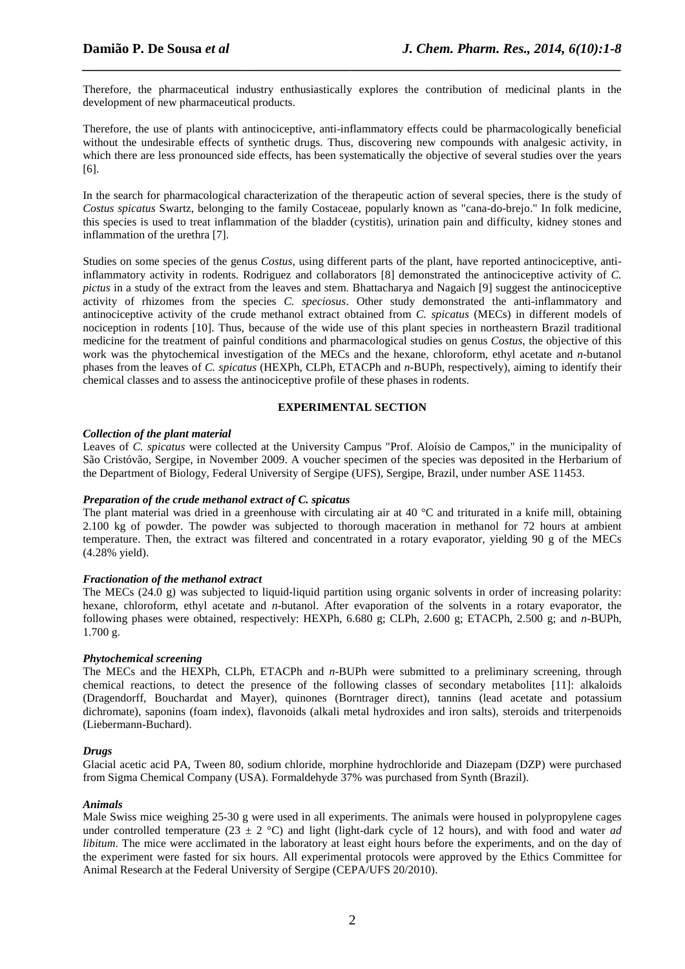Therefore, the pharmaceutical industry enthusiastically explores the contribution of medicinal plants in the development of new pharmaceutical products.

*\_\_\_\_\_\_\_\_\_\_\_\_\_\_\_\_\_\_\_\_\_\_\_\_\_\_\_\_\_\_\_\_\_\_\_\_\_\_\_\_\_\_\_\_\_\_\_\_\_\_\_\_\_\_\_\_\_\_\_\_\_\_\_\_\_\_\_\_\_\_\_\_\_\_\_\_\_\_*

Therefore, the use of plants with antinociceptive, anti-inflammatory effects could be pharmacologically beneficial without the undesirable effects of synthetic drugs. Thus, discovering new compounds with analgesic activity, in which there are less pronounced side effects, has been systematically the objective of several studies over the years [6].

In the search for pharmacological characterization of the therapeutic action of several species, there is the study of *Costus spicatus* Swartz, belonging to the family Costaceae, popularly known as "cana-do-brejo." In folk medicine, this species is used to treat inflammation of the bladder (cystitis), urination pain and difficulty, kidney stones and inflammation of the urethra [7].

Studies on some species of the genus *Costus*, using different parts of the plant, have reported antinociceptive, antiinflammatory activity in rodents. Rodriguez and collaborators [8] demonstrated the antinociceptive activity of *C. pictus* in a study of the extract from the leaves and stem. Bhattacharya and Nagaich [9] suggest the antinociceptive activity of rhizomes from the species *C. speciosus*. Other study demonstrated the anti-inflammatory and antinociceptive activity of the crude methanol extract obtained from *C. spicatus* (MECs) in different models of nociception in rodents [10]. Thus, because of the wide use of this plant species in northeastern Brazil traditional medicine for the treatment of painful conditions and pharmacological studies on genus *Costus*, the objective of this work was the phytochemical investigation of the MECs and the hexane, chloroform, ethyl acetate and *n*-butanol phases from the leaves of *C. spicatus* (HEXPh, CLPh, ETACPh and *n*-BUPh, respectively), aiming to identify their chemical classes and to assess the antinociceptive profile of these phases in rodents.

## **EXPERIMENTAL SECTION**

## *Collection of the plant material*

Leaves of *C. spicatus* were collected at the University Campus "Prof. Aloísio de Campos," in the municipality of São Cristóvão, Sergipe, in November 2009. A voucher specimen of the species was deposited in the Herbarium of the Department of Biology, Federal University of Sergipe (UFS), Sergipe, Brazil, under number ASE 11453.

### *Preparation of the crude methanol extract of C. spicatus*

The plant material was dried in a greenhouse with circulating air at  $40^{\circ}$ C and triturated in a knife mill, obtaining 2.100 kg of powder. The powder was subjected to thorough maceration in methanol for 72 hours at ambient temperature. Then, the extract was filtered and concentrated in a rotary evaporator, yielding 90 g of the MECs (4.28% yield).

### *Fractionation of the methanol extract*

The MECs (24.0 g) was subjected to liquid-liquid partition using organic solvents in order of increasing polarity: hexane, chloroform, ethyl acetate and *n*-butanol. After evaporation of the solvents in a rotary evaporator, the following phases were obtained, respectively: HEXPh, 6.680 g; CLPh, 2.600 g; ETACPh, 2.500 g; and *n*-BUPh, 1.700 g.

### *Phytochemical screening*

The MECs and the HEXPh, CLPh, ETACPh and *n*-BUPh were submitted to a preliminary screening, through chemical reactions, to detect the presence of the following classes of secondary metabolites [11]: alkaloids (Dragendorff, Bouchardat and Mayer), quinones (Borntrager direct), tannins (lead acetate and potassium dichromate), saponins (foam index), flavonoids (alkali metal hydroxides and iron salts), steroids and triterpenoids (Liebermann-Buchard).

### *Drugs*

Glacial acetic acid PA, Tween 80, sodium chloride, morphine hydrochloride and Diazepam (DZP) were purchased from Sigma Chemical Company (USA). Formaldehyde 37% was purchased from Synth (Brazil).

### *Animals*

Male Swiss mice weighing 25-30 g were used in all experiments. The animals were housed in polypropylene cages under controlled temperature (23  $\pm$  2 °C) and light (light-dark cycle of 12 hours), and with food and water *ad libitum*. The mice were acclimated in the laboratory at least eight hours before the experiments, and on the day of the experiment were fasted for six hours. All experimental protocols were approved by the Ethics Committee for Animal Research at the Federal University of Sergipe (CEPA/UFS 20/2010).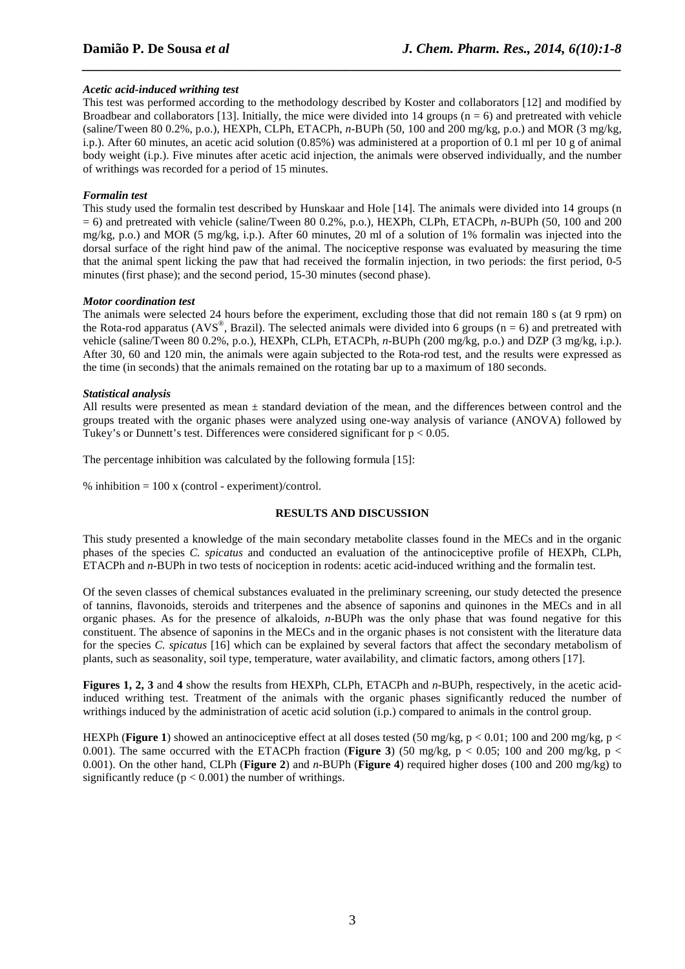## *Acetic acid-induced writhing test*

This test was performed according to the methodology described by Koster and collaborators [12] and modified by Broadbear and collaborators [13]. Initially, the mice were divided into 14 groups ( $n = 6$ ) and pretreated with vehicle (saline/Tween 80 0.2%, p.o.), HEXPh, CLPh, ETACPh, *n*-BUPh (50, 100 and 200 mg/kg, p.o.) and MOR (3 mg/kg, i.p.). After 60 minutes, an acetic acid solution (0.85%) was administered at a proportion of 0.1 ml per 10 g of animal body weight (i.p.). Five minutes after acetic acid injection, the animals were observed individually, and the number of writhings was recorded for a period of 15 minutes.

*\_\_\_\_\_\_\_\_\_\_\_\_\_\_\_\_\_\_\_\_\_\_\_\_\_\_\_\_\_\_\_\_\_\_\_\_\_\_\_\_\_\_\_\_\_\_\_\_\_\_\_\_\_\_\_\_\_\_\_\_\_\_\_\_\_\_\_\_\_\_\_\_\_\_\_\_\_\_*

## *Formalin test*

This study used the formalin test described by Hunskaar and Hole [14]. The animals were divided into 14 groups (n = 6) and pretreated with vehicle (saline/Tween 80 0.2%, p.o.), HEXPh, CLPh, ETACPh, *n*-BUPh (50, 100 and 200 mg/kg, p.o.) and MOR (5 mg/kg, i.p.). After 60 minutes, 20 ml of a solution of 1% formalin was injected into the dorsal surface of the right hind paw of the animal. The nociceptive response was evaluated by measuring the time that the animal spent licking the paw that had received the formalin injection, in two periods: the first period, 0-5 minutes (first phase); and the second period, 15-30 minutes (second phase).

### *Motor coordination test*

The animals were selected 24 hours before the experiment, excluding those that did not remain 180 s (at 9 rpm) on the Rota-rod apparatus (AVS<sup>®</sup>, Brazil). The selected animals were divided into 6 groups ( $n = 6$ ) and pretreated with vehicle (saline/Tween 80 0.2%, p.o.), HEXPh, CLPh, ETACPh, *n*-BUPh (200 mg/kg, p.o.) and DZP (3 mg/kg, i.p.). After 30, 60 and 120 min, the animals were again subjected to the Rota-rod test, and the results were expressed as the time (in seconds) that the animals remained on the rotating bar up to a maximum of 180 seconds.

## *Statistical analysis*

All results were presented as mean  $\pm$  standard deviation of the mean, and the differences between control and the groups treated with the organic phases were analyzed using one-way analysis of variance (ANOVA) followed by Tukey's or Dunnett's test. Differences were considered significant for  $p < 0.05$ .

The percentage inhibition was calculated by the following formula [15]:

% inhibition  $= 100$  x (control - experiment)/control.

## **RESULTS AND DISCUSSION**

This study presented a knowledge of the main secondary metabolite classes found in the MECs and in the organic phases of the species *C. spicatus* and conducted an evaluation of the antinociceptive profile of HEXPh, CLPh, ETACPh and *n*-BUPh in two tests of nociception in rodents: acetic acid-induced writhing and the formalin test.

Of the seven classes of chemical substances evaluated in the preliminary screening, our study detected the presence of tannins, flavonoids, steroids and triterpenes and the absence of saponins and quinones in the MECs and in all organic phases. As for the presence of alkaloids, *n*-BUPh was the only phase that was found negative for this constituent. The absence of saponins in the MECs and in the organic phases is not consistent with the literature data for the species *C. spicatus* [16] which can be explained by several factors that affect the secondary metabolism of plants, such as seasonality, soil type, temperature, water availability, and climatic factors, among others [17].

**Figures 1, 2, 3** and **4** show the results from HEXPh, CLPh, ETACPh and *n*-BUPh, respectively, in the acetic acidinduced writhing test. Treatment of the animals with the organic phases significantly reduced the number of writhings induced by the administration of acetic acid solution (i.p.) compared to animals in the control group.

HEXPh (**Figure 1**) showed an antinociceptive effect at all doses tested (50 mg/kg, p < 0.01; 100 and 200 mg/kg, p < 0.001). The same occurred with the ETACPh fraction (**Figure 3**) (50 mg/kg,  $p < 0.05$ ; 100 and 200 mg/kg,  $p <$ 0.001). On the other hand, CLPh (**Figure 2**) and *n*-BUPh (**Figure 4**) required higher doses (100 and 200 mg/kg) to significantly reduce  $(p < 0.001)$  the number of writhings.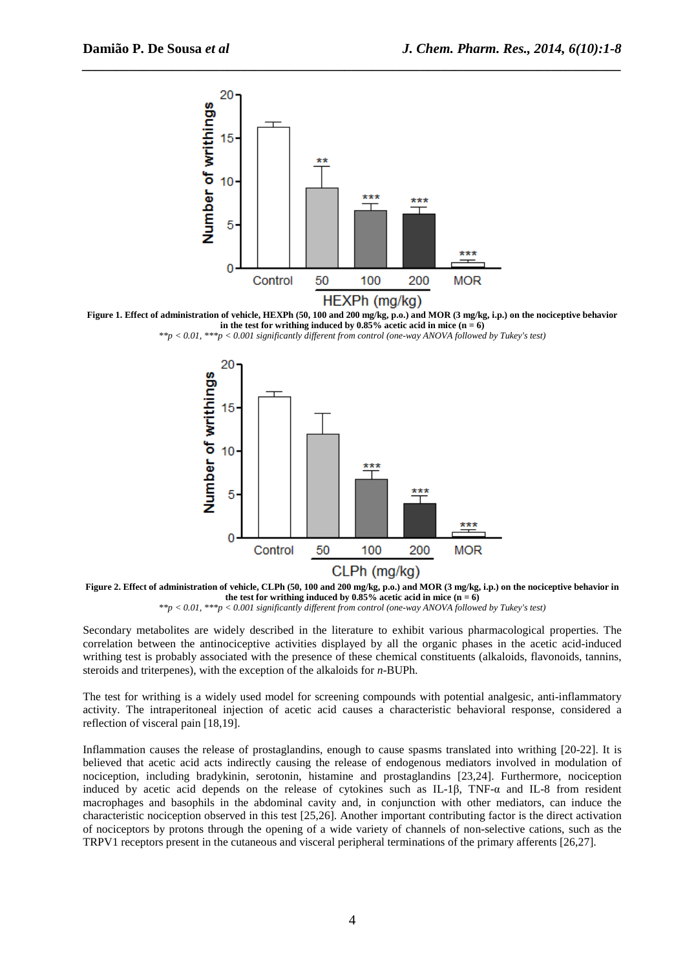

*\_\_\_\_\_\_\_\_\_\_\_\_\_\_\_\_\_\_\_\_\_\_\_\_\_\_\_\_\_\_\_\_\_\_\_\_\_\_\_\_\_\_\_\_\_\_\_\_\_\_\_\_\_\_\_\_\_\_\_\_\_\_\_\_\_\_\_\_\_\_\_\_\_\_\_\_\_\_*

**Figure 1. Effect of administration of vehicle, HEXPh (50, 100 and 200 mg/kg, p.o.) and MOR (3 mg/kg, i.p.) on the nociceptive behavior**  in the test for writhing induced by  $0.85\%$  acetic acid in mice  $(n = 6)$ 

*\*\*p < 0.01, \*\*\*p < 0.001 significantly different from control (one-way ANOVA followed by Tukey's test)*





Secondary metabolites are widely described in the literature to exhibit various pharmacological properties. The correlation between the antinociceptive activities displayed by all the organic phases in the acetic acid-induced writhing test is probably associated with the presence of these chemical constituents (alkaloids, flavonoids, tannins, steroids and triterpenes), with the exception of the alkaloids for *n*-BUPh.

The test for writhing is a widely used model for screening compounds with potential analgesic, anti-inflammatory activity. The intraperitoneal injection of acetic acid causes a characteristic behavioral response, considered a reflection of visceral pain [18,19].

Inflammation causes the release of prostaglandins, enough to cause spasms translated into writhing [20-22]. It is believed that acetic acid acts indirectly causing the release of endogenous mediators involved in modulation of nociception, including bradykinin, serotonin, histamine and prostaglandins [23,24]. Furthermore, nociception induced by acetic acid depends on the release of cytokines such as IL-1β, TNF-α and IL-8 from resident macrophages and basophils in the abdominal cavity and, in conjunction with other mediators, can induce the characteristic nociception observed in this test [25,26]. Another important contributing factor is the direct activation of nociceptors by protons through the opening of a wide variety of channels of non-selective cations, such as the TRPV1 receptors present in the cutaneous and visceral peripheral terminations of the primary afferents [26,27].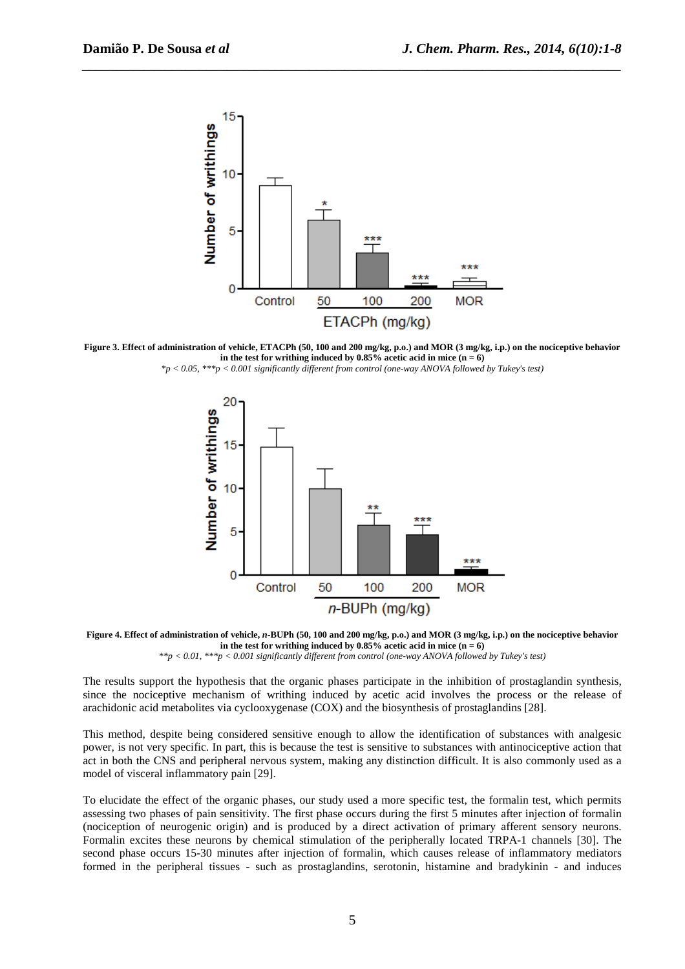

*\_\_\_\_\_\_\_\_\_\_\_\_\_\_\_\_\_\_\_\_\_\_\_\_\_\_\_\_\_\_\_\_\_\_\_\_\_\_\_\_\_\_\_\_\_\_\_\_\_\_\_\_\_\_\_\_\_\_\_\_\_\_\_\_\_\_\_\_\_\_\_\_\_\_\_\_\_\_*

**Figure 3. Effect of administration of vehicle, ETACPh (50, 100 and 200 mg/kg, p.o.) and MOR (3 mg/kg, i.p.) on the nociceptive behavior**  in the test for writhing induced by  $0.85\%$  acetic acid in mice  $(n = 6)$ 

*\*p < 0.05, \*\*\*p < 0.001 significantly different from control (one-way ANOVA followed by Tukey's test)* 



Figure 4. Effect of administration of vehicle, *n*-BUPh (50, 100 and 200 mg/kg, p.o.) and MOR (3 mg/kg, i.p.) on the nociceptive behavior in the test for writhing induced by  $0.85\%$  acetic acid in mice  $(n = 6)$ 

*\*\*p < 0.01, \*\*\*p < 0.001 significantly different from control (one-way ANOVA followed by Tukey's test)*

The results support the hypothesis that the organic phases participate in the inhibition of prostaglandin synthesis, since the nociceptive mechanism of writhing induced by acetic acid involves the process or the release of arachidonic acid metabolites via cyclooxygenase (COX) and the biosynthesis of prostaglandins [28].

This method, despite being considered sensitive enough to allow the identification of substances with analgesic power, is not very specific. In part, this is because the test is sensitive to substances with antinociceptive action that act in both the CNS and peripheral nervous system, making any distinction difficult. It is also commonly used as a model of visceral inflammatory pain [29].

To elucidate the effect of the organic phases, our study used a more specific test, the formalin test, which permits assessing two phases of pain sensitivity. The first phase occurs during the first 5 minutes after injection of formalin (nociception of neurogenic origin) and is produced by a direct activation of primary afferent sensory neurons. Formalin excites these neurons by chemical stimulation of the peripherally located TRPA-1 channels [30]. The second phase occurs 15-30 minutes after injection of formalin, which causes release of inflammatory mediators formed in the peripheral tissues - such as prostaglandins, serotonin, histamine and bradykinin - and induces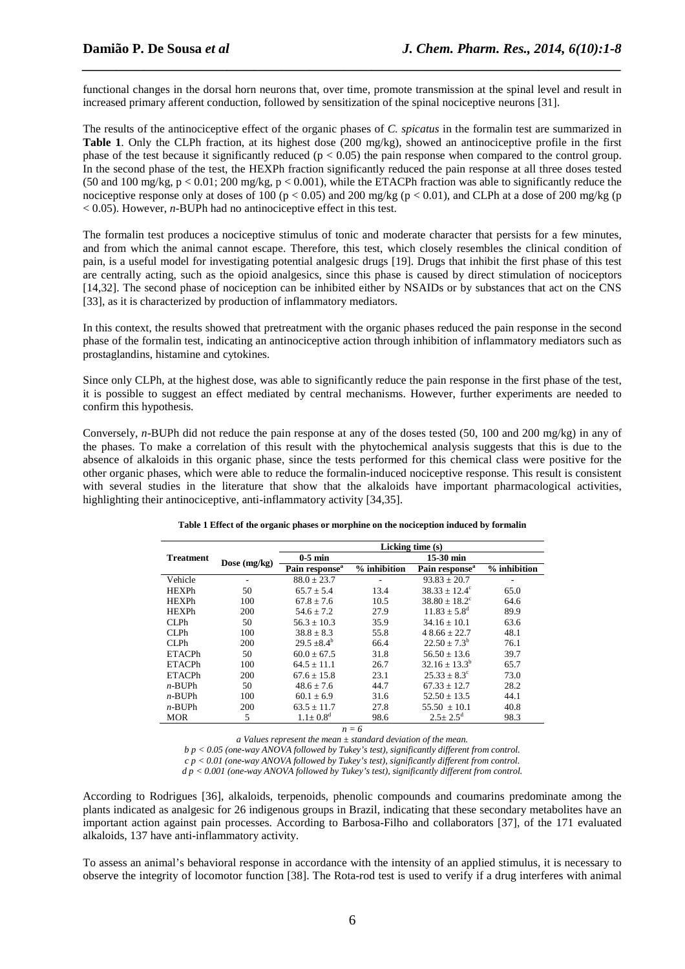functional changes in the dorsal horn neurons that, over time, promote transmission at the spinal level and result in increased primary afferent conduction, followed by sensitization of the spinal nociceptive neurons [31].

*\_\_\_\_\_\_\_\_\_\_\_\_\_\_\_\_\_\_\_\_\_\_\_\_\_\_\_\_\_\_\_\_\_\_\_\_\_\_\_\_\_\_\_\_\_\_\_\_\_\_\_\_\_\_\_\_\_\_\_\_\_\_\_\_\_\_\_\_\_\_\_\_\_\_\_\_\_\_*

The results of the antinociceptive effect of the organic phases of *C. spicatus* in the formalin test are summarized in **Table 1**. Only the CLPh fraction, at its highest dose (200 mg/kg), showed an antinociceptive profile in the first phase of the test because it significantly reduced ( $p < 0.05$ ) the pain response when compared to the control group. In the second phase of the test, the HEXPh fraction significantly reduced the pain response at all three doses tested (50 and 100 mg/kg,  $p < 0.01$ ; 200 mg/kg,  $p < 0.001$ ), while the ETACPh fraction was able to significantly reduce the nociceptive response only at doses of 100 ( $p < 0.05$ ) and 200 mg/kg ( $p < 0.01$ ), and CLPh at a dose of 200 mg/kg (p < 0.05). However, *n*-BUPh had no antinociceptive effect in this test.

The formalin test produces a nociceptive stimulus of tonic and moderate character that persists for a few minutes, and from which the animal cannot escape. Therefore, this test, which closely resembles the clinical condition of pain, is a useful model for investigating potential analgesic drugs [19]. Drugs that inhibit the first phase of this test are centrally acting, such as the opioid analgesics, since this phase is caused by direct stimulation of nociceptors [14,32]. The second phase of nociception can be inhibited either by NSAIDs or by substances that act on the CNS [33], as it is characterized by production of inflammatory mediators.

In this context, the results showed that pretreatment with the organic phases reduced the pain response in the second phase of the formalin test, indicating an antinociceptive action through inhibition of inflammatory mediators such as prostaglandins, histamine and cytokines.

Since only CLPh, at the highest dose, was able to significantly reduce the pain response in the first phase of the test, it is possible to suggest an effect mediated by central mechanisms. However, further experiments are needed to confirm this hypothesis.

Conversely, *n*-BUPh did not reduce the pain response at any of the doses tested (50, 100 and 200 mg/kg) in any of the phases. To make a correlation of this result with the phytochemical analysis suggests that this is due to the absence of alkaloids in this organic phase, since the tests performed for this chemical class were positive for the other organic phases, which were able to reduce the formalin-induced nociceptive response. This result is consistent with several studies in the literature that show that the alkaloids have important pharmacological activities, highlighting their antinociceptive, anti-inflammatory activity [34,35].

|               |                | Licking time $(s)$         |              |                            |              |  |  |  |  |
|---------------|----------------|----------------------------|--------------|----------------------------|--------------|--|--|--|--|
| Treatment     |                | $0-5$ min                  |              | $15-30$ min                |              |  |  |  |  |
|               | Dose $(mg/kg)$ | Pain response <sup>a</sup> | % inhibition | Pain response <sup>a</sup> | % inhibition |  |  |  |  |
| Vehicle       |                | $88.0 \pm 23.7$            |              | $93.83 \pm 20.7$           |              |  |  |  |  |
| <b>HEXPh</b>  | 50             | $65.7 \pm 5.4$             | 13.4         | $38.33 \pm 12.4^{\circ}$   | 65.0         |  |  |  |  |
| <b>HEXPh</b>  | 100            | $67.8 \pm 7.6$             | 10.5         | $38.80 + 18.2^{\circ}$     | 64.6         |  |  |  |  |
| <b>HEXPh</b>  | 200            | $54.6 \pm 7.2$             | 27.9         | $11.83 \pm 5.8^{\rm d}$    | 89.9         |  |  |  |  |
| CLPh          | 50             | $56.3 + 10.3$              | 35.9         | $34.16 + 10.1$             | 63.6         |  |  |  |  |
| CLPh          | 100            | $38.8 \pm 8.3$             | 55.8         | $48.66 + 22.7$             | 48.1         |  |  |  |  |
| CLPh          | 200            | $29.5 + 8.4^b$             | 66.4         | $22.50 \pm 7.3^b$          | 76.1         |  |  |  |  |
| <b>ETACPh</b> | 50             | $60.0 \pm 67.5$            | 31.8         | $56.50 + 13.6$             | 39.7         |  |  |  |  |
| <b>ETACPh</b> | 100            | $64.5 + 11.1$              | 26.7         | $32.16 + 13.3^b$           | 65.7         |  |  |  |  |
| <b>ETACPh</b> | 200            | $67.6 \pm 15.8$            | 23.1         | $25.33 + 8.3^{\circ}$      | 73.0         |  |  |  |  |
| $n-BUPh$      | 50             | $48.6 + 7.6$               | 44.7         | $67.33 + 12.7$             | 28.2         |  |  |  |  |
| $n-BUPh$      | 100            | $60.1 \pm 6.9$             | 31.6         | $52.50 \pm 13.5$           | 44.1         |  |  |  |  |
| $n-BUPh$      | 200            | $63.5 + 11.7$              | 27.8         | $55.50 \pm 10.1$           | 40.8         |  |  |  |  |
| <b>MOR</b>    | 5              | $1.1 + 0.8^d$              | 98.6         | $2.5 + 2.5^d$              | 98.3         |  |  |  |  |

| Table 1 Effect of the organic phases or morphine on the nociception induced by formalin |  |  |  |  |  |  |
|-----------------------------------------------------------------------------------------|--|--|--|--|--|--|
|                                                                                         |  |  |  |  |  |  |
|                                                                                         |  |  |  |  |  |  |

 $n = 6$ 

*a Values represent the mean ± standard deviation of the mean. b p < 0.05 (one-way ANOVA followed by Tukey's test), significantly different from control.* 

*c p < 0.01 (one-way ANOVA followed by Tukey's test), significantly different from control.* 

*d p < 0.001 (one-way ANOVA followed by Tukey's test), significantly different from control.* 

According to Rodrigues [36], alkaloids, terpenoids, phenolic compounds and coumarins predominate among the plants indicated as analgesic for 26 indigenous groups in Brazil, indicating that these secondary metabolites have an important action against pain processes. According to Barbosa-Filho and collaborators [37], of the 171 evaluated alkaloids, 137 have anti-inflammatory activity.

To assess an animal's behavioral response in accordance with the intensity of an applied stimulus, it is necessary to observe the integrity of locomotor function [38]. The Rota-rod test is used to verify if a drug interferes with animal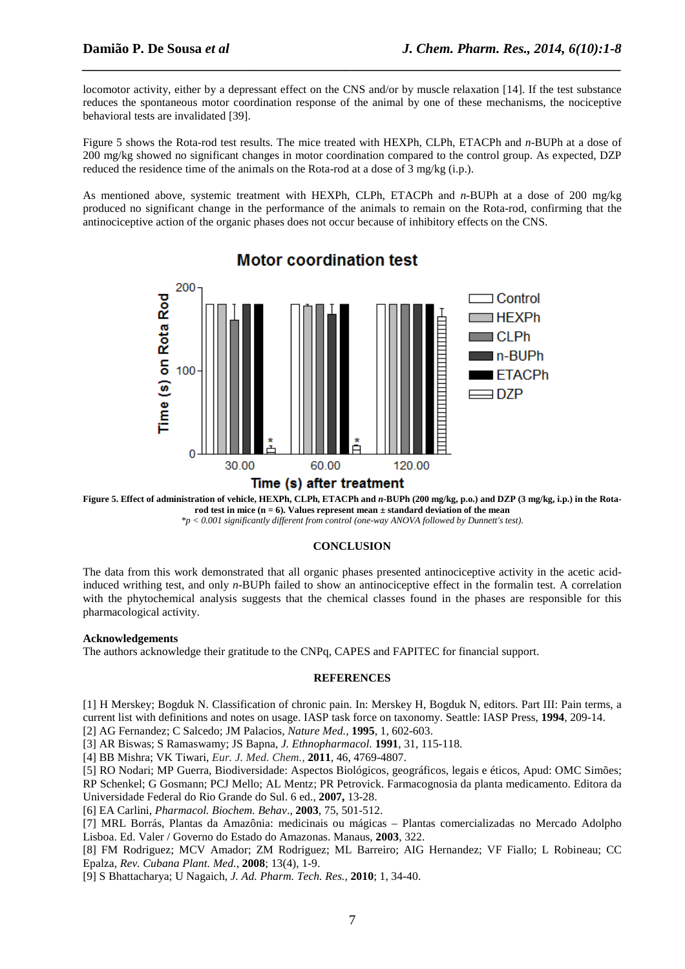locomotor activity, either by a depressant effect on the CNS and/or by muscle relaxation [14]. If the test substance reduces the spontaneous motor coordination response of the animal by one of these mechanisms, the nociceptive behavioral tests are invalidated [39].

*\_\_\_\_\_\_\_\_\_\_\_\_\_\_\_\_\_\_\_\_\_\_\_\_\_\_\_\_\_\_\_\_\_\_\_\_\_\_\_\_\_\_\_\_\_\_\_\_\_\_\_\_\_\_\_\_\_\_\_\_\_\_\_\_\_\_\_\_\_\_\_\_\_\_\_\_\_\_*

Figure 5 shows the Rota-rod test results. The mice treated with HEXPh, CLPh, ETACPh and *n*-BUPh at a dose of 200 mg/kg showed no significant changes in motor coordination compared to the control group. As expected, DZP reduced the residence time of the animals on the Rota-rod at a dose of 3 mg/kg (i.p.).

As mentioned above, systemic treatment with HEXPh, CLPh, ETACPh and *n*-BUPh at a dose of 200 mg/kg produced no significant change in the performance of the animals to remain on the Rota-rod, confirming that the antinociceptive action of the organic phases does not occur because of inhibitory effects on the CNS.



## **Motor coordination test**

**Figure 5. Effect of administration of vehicle, HEXPh, CLPh, ETACPh and** *n***-BUPh (200 mg/kg, p.o.) and DZP (3 mg/kg, i.p.) in the Rotarod test in mice (n = 6). Values represent mean ± standard deviation of the mean** 

## *\*p < 0.001 significantly different from control (one-way ANOVA followed by Dunnett's test).*

## **CONCLUSION**

The data from this work demonstrated that all organic phases presented antinociceptive activity in the acetic acidinduced writhing test, and only *n*-BUPh failed to show an antinociceptive effect in the formalin test. A correlation with the phytochemical analysis suggests that the chemical classes found in the phases are responsible for this pharmacological activity.

### **Acknowledgements**

The authors acknowledge their gratitude to the CNPq, CAPES and FAPITEC for financial support.

### **REFERENCES**

[1] H Merskey; Bogduk N. Classification of chronic pain. In: Merskey H, Bogduk N, editors. Part III: Pain terms, a current list with definitions and notes on usage. IASP task force on taxonomy. Seattle: IASP Press, **1994**, 209-14.

[2] AG Fernandez; C Salcedo; JM Palacios, *Nature Med.,* **1995**, 1, 602-603.

[3] AR Biswas; S Ramaswamy; JS Bapna, *J. Ethnopharmacol.* **1991**, 31, 115-118.

[4] BB Mishra; VK Tiwari, *Eur. J. Med. Chem.,* **2011**, 46, 4769-4807.

[5] RO Nodari; MP Guerra, Biodiversidade: Aspectos Biológicos, geográficos, legais e éticos, Apud: OMC Simões; RP Schenkel; G Gosmann; PCJ Mello; AL Mentz; PR Petrovick. Farmacognosia da planta medicamento. Editora da Universidade Federal do Rio Grande do Sul. 6 ed., **2007,** 13-28.

[6] EA Carlini, *Pharmacol. Biochem. Behav*., **2003**, 75, 501-512.

[7] MRL Borrás, Plantas da Amazônia: medicinais ou mágicas – Plantas comercializadas no Mercado Adolpho Lisboa. Ed. Valer / Governo do Estado do Amazonas. Manaus, **2003**, 322.

[8] FM Rodriguez; MCV Amador; ZM Rodriguez; ML Barreiro; AIG Hernandez; VF Fiallo; L Robineau; CC Epalza, *Rev. Cubana Plant. Med.,* **2008**; 13(4), 1-9.

[9] S Bhattacharya; U Nagaich, *J. Ad. Pharm. Tech. Res.,* **2010**; 1, 34-40.